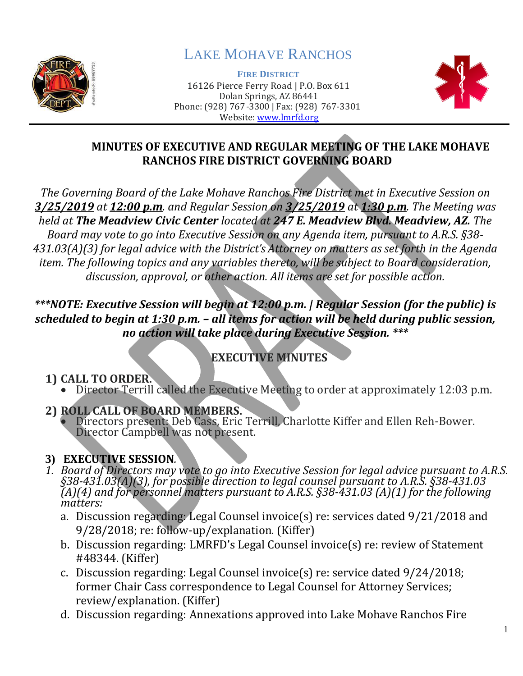

# LAKE MOHAVE RANCHOS

**FIRE DISTRICT** 16126 Pierce Ferry Road | P.O. Box 611 Dolan Springs, AZ 86441 Phone: (928) 767-3300 | Fax: (928) 767-3301 Website: [www.lmrfd.org](http://www.lmrfd.org/)



## **MINUTES OF EXECUTIVE AND REGULAR MEETING OF THE LAKE MOHAVE RANCHOS FIRE DISTRICT GOVERNING BOARD**

*The Governing Board of the Lake Mohave Ranchos Fire District met in Executive Session on 3/25/2019 at 12:00 p.m. and Regular Session on 3/25/2019 at 1:30 p.m. The Meeting was held at The Meadview Civic Center located at 247 E. Meadview Blvd. Meadview, AZ. The Board may vote to go into Executive Session on any Agenda item, pursuant to A.R.S. §38- 431.03(A)(3) for legal advice with the District's Attorney on matters as set forth in the Agenda item. The following topics and any variables thereto, will be subject to Board consideration, discussion, approval, or other action. All items are set for possible action.*

## *\*\*\*NOTE: Executive Session will begin at 12:00 p.m. | Regular Session (for the public) is scheduled to begin at 1:30 p.m. – all items for action will be held during public session, no action will take place during Executive Session. \*\*\**

## **EXECUTIVE MINUTES**

## **1) CALL TO ORDER.**

• Director Terrill called the Executive Meeting to order at approximately 12:03 p.m.

#### **2) ROLL CALL OF BOARD MEMBERS.**

• Directors present: Deb Cass, Eric Terrill, Charlotte Kiffer and Ellen Reh-Bower. Director Campbell was not present.

## **3) EXECUTIVE SESSION***.*

- *1. Board of Directors may vote to go into Executive Session for legal advice pursuant to A.R.S. §38-431.03(A)(3), for possible direction to legal counsel pursuant to A.R.S. §38-431.03 (A)(4) and for personnel matters pursuant to A.R.S. §38-431.03 (A)(1) for the following matters:*
	- a. Discussion regarding: Legal Counsel invoice(s) re: services dated 9/21/2018 and 9/28/2018; re: follow-up/explanation. (Kiffer)
	- b. Discussion regarding: LMRFD's Legal Counsel invoice(s) re: review of Statement #48344. (Kiffer)
	- c. Discussion regarding: Legal Counsel invoice(s) re: service dated 9/24/2018; former Chair Cass correspondence to Legal Counsel for Attorney Services; review/explanation. (Kiffer)
	- d. Discussion regarding: Annexations approved into Lake Mohave Ranchos Fire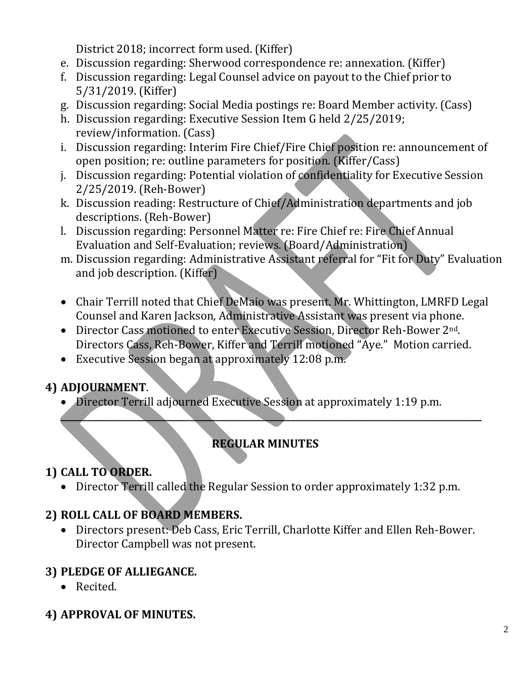District 2018; incorrect form used. (Kiffer)

- e. Discussion regarding: Sherwood correspondence re: annexation. (Kiffer)
- f. Discussion regarding: Legal Counsel advice on payout to the Chief prior to 5/31/2019. (Kiffer)
- g. Discussion regarding: Social Media postings re: Board Member activity. (Cass)
- h. Discussion regarding: Executive Session Item G held 2/25/2019; review/information. (Cass)
- i. Discussion regarding: Interim Fire Chief/Fire Chief position re: announcement of open position; re: outline parameters for position. (Kiffer/Cass)
- j. Discussion regarding: Potential violation of confidentiality for Executive Session 2/25/2019. (Reh-Bower)
- k. Discussion reading: Restructure of Chief/Administration departments and job descriptions. (Reh-Bower)
- l. Discussion regarding: Personnel Matter re: Fire Chief re: Fire Chief Annual Evaluation and Self-Evaluation; reviews. (Board/Administration)
- m. Discussion regarding: Administrative Assistant referral for "Fit for Duty" Evaluation and job description. (Kiffer)
- Chair Terrill noted that Chief DeMaio was present. Mr. Whittington, LMRFD Legal Counsel and Karen Jackson, Administrative Assistant was present via phone.
- Director Cass motioned to enter Executive Session, Director Reh-Bower 2<sup>nd</sup>. Directors Cass, Reh-Bower, Kiffer and Terrill motioned "Aye." Motion carried.
- Executive Session began at approximately 12:08 p.m.

## **4) ADJOURNMENT**.

• Director Terrill adjourned Executive Session at approximately 1:19 p.m.

## **REGULAR MINUTES**

**\_\_\_\_\_\_\_\_\_\_\_\_\_\_\_\_\_\_\_\_\_\_\_\_\_\_\_\_\_\_\_\_\_\_\_\_\_\_\_\_\_\_\_\_\_\_\_\_\_\_\_\_\_\_\_\_\_\_\_\_\_\_\_\_\_\_\_\_\_\_\_\_\_\_\_\_\_\_\_\_\_\_\_\_\_\_\_\_\_\_\_\_\_\_\_**

## **1) CALL TO ORDER.**

• Director Terrill called the Regular Session to order approximately 1:32 p.m.

## **2) ROLL CALL OF BOARD MEMBERS.**

• Directors present: Deb Cass, Eric Terrill, Charlotte Kiffer and Ellen Reh-Bower. Director Campbell was not present.

## **3) PLEDGE OF ALLIEGANCE.**

• Recited.

## **4) APPROVAL OF MINUTES.**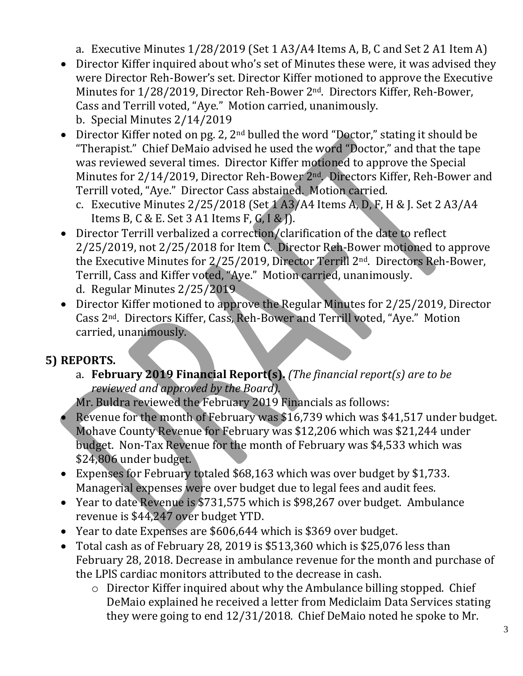a. Executive Minutes 1/28/2019 (Set 1 A3/A4 Items A, B, C and Set 2 A1 Item A)

- Director Kiffer inquired about who's set of Minutes these were, it was advised they were Director Reh-Bower's set. Director Kiffer motioned to approve the Executive Minutes for 1/28/2019, Director Reh-Bower 2<sup>nd</sup>. Directors Kiffer, Reh-Bower, Cass and Terrill voted, "Aye." Motion carried, unanimously. b. Special Minutes 2/14/2019
- Director Kiffer noted on pg. 2,  $2^{nd}$  bulled the word "Doctor," stating it should be "Therapist." Chief DeMaio advised he used the word "Doctor," and that the tape was reviewed several times. Director Kiffer motioned to approve the Special Minutes for 2/14/2019, Director Reh-Bower 2nd. Directors Kiffer, Reh-Bower and Terrill voted, "Aye." Director Cass abstained. Motion carried.
	- c. Executive Minutes 2/25/2018 (Set 1 A3/A4 Items A, D, F, H & J. Set 2 A3/A4 Items B, C & E. Set 3 A1 Items F, G, I & J).
- Director Terrill verbalized a correction/clarification of the date to reflect 2/25/2019, not 2/25/2018 for Item C. Director Reh-Bower motioned to approve the Executive Minutes for 2/25/2019, Director Terrill 2nd. Directors Reh-Bower, Terrill, Cass and Kiffer voted, "Aye." Motion carried, unanimously. d. Regular Minutes 2/25/2019
- Director Kiffer motioned to approve the Regular Minutes for 2/25/2019, Director Cass 2nd. Directors Kiffer, Cass, Reh-Bower and Terrill voted, "Aye." Motion carried, unanimously.

## **5) REPORTS.**

a. **February 2019 Financial Report(s).** *(The financial report(s) are to be reviewed and approved by the Board).*

Mr. Buldra reviewed the February 2019 Financials as follows:

- Revenue for the month of February was \$16,739 which was \$41,517 under budget. Mohave County Revenue for February was \$12,206 which was \$21,244 under budget. Non-Tax Revenue for the month of February was \$4,533 which was \$24,806 under budget.
- Expenses for February totaled \$68,163 which was over budget by \$1,733. Managerial expenses were over budget due to legal fees and audit fees.
- Year to date Revenue is \$731,575 which is \$98,267 over budget. Ambulance revenue is \$44,247 over budget YTD.
- Year to date Expenses are \$606,644 which is \$369 over budget.
- Total cash as of February 28, 2019 is \$513,360 which is \$25,076 less than February 28, 2018. Decrease in ambulance revenue for the month and purchase of the LPlS cardiac monitors attributed to the decrease in cash.
	- o Director Kiffer inquired about why the Ambulance billing stopped. Chief DeMaio explained he received a letter from Mediclaim Data Services stating they were going to end 12/31/2018. Chief DeMaio noted he spoke to Mr.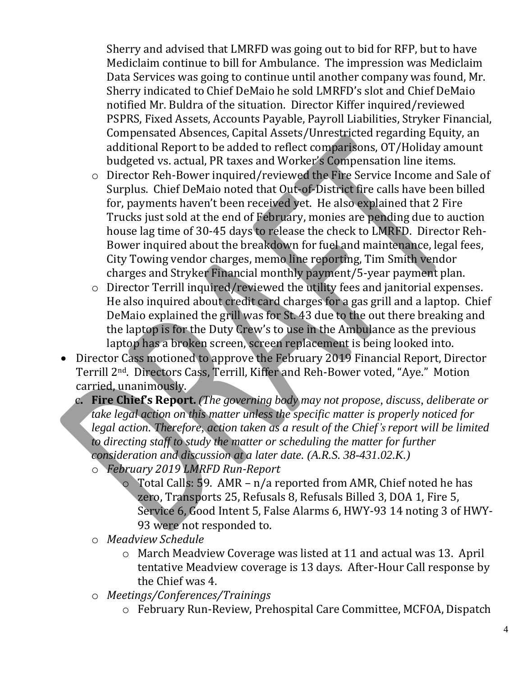Sherry and advised that LMRFD was going out to bid for RFP, but to have Mediclaim continue to bill for Ambulance. The impression was Mediclaim Data Services was going to continue until another company was found, Mr. Sherry indicated to Chief DeMaio he sold LMRFD's slot and Chief DeMaio notified Mr. Buldra of the situation. Director Kiffer inquired/reviewed PSPRS, Fixed Assets, Accounts Payable, Payroll Liabilities, Stryker Financial, Compensated Absences, Capital Assets/Unrestricted regarding Equity, an additional Report to be added to reflect comparisons, OT/Holiday amount budgeted vs. actual, PR taxes and Worker's Compensation line items.

- o Director Reh-Bower inquired/reviewed the Fire Service Income and Sale of Surplus. Chief DeMaio noted that Out-of-District fire calls have been billed for, payments haven't been received yet. He also explained that 2 Fire Trucks just sold at the end of February, monies are pending due to auction house lag time of 30-45 days to release the check to LMRFD. Director Reh-Bower inquired about the breakdown for fuel and maintenance, legal fees, City Towing vendor charges, memo line reporting, Tim Smith vendor charges and Stryker Financial monthly payment/5-year payment plan.
- o Director Terrill inquired/reviewed the utility fees and janitorial expenses. He also inquired about credit card charges for a gas grill and a laptop. Chief DeMaio explained the grill was for St. 43 due to the out there breaking and the laptop is for the Duty Crew's to use in the Ambulance as the previous laptop has a broken screen, screen replacement is being looked into.
- Director Cass motioned to approve the February 2019 Financial Report. Director Terrill 2nd. Directors Cass, Terrill, Kiffer and Reh-Bower voted, "Aye." Motion carried, unanimously.
	- c**. Fire Chief's Report.** *(The governing body may not propose, discuss, deliberate or take legal action on this matter unless the specific matter is properly noticed for legal action. Therefore, action taken as a result of the Chief's report will be limited to directing staff to study the matter or scheduling the matter for further consideration and discussion at a later date. (A.R.S. 38-431.02.K.)*
		- o *February 2019 LMRFD Run-Report* 
			- o Total Calls: 59. AMR n/a reported from AMR, Chief noted he has zero, Transports 25, Refusals 8, Refusals Billed 3, DOA 1, Fire 5, Service 6, Good Intent 5, False Alarms 6, HWY-93 14 noting 3 of HWY-93 were not responded to.
		- o *Meadview Schedule*
			- o March Meadview Coverage was listed at 11 and actual was 13. April tentative Meadview coverage is 13 days. After-Hour Call response by the Chief was 4.
		- o *Meetings/Conferences/Trainings*
			- o February Run-Review, Prehospital Care Committee, MCFOA, Dispatch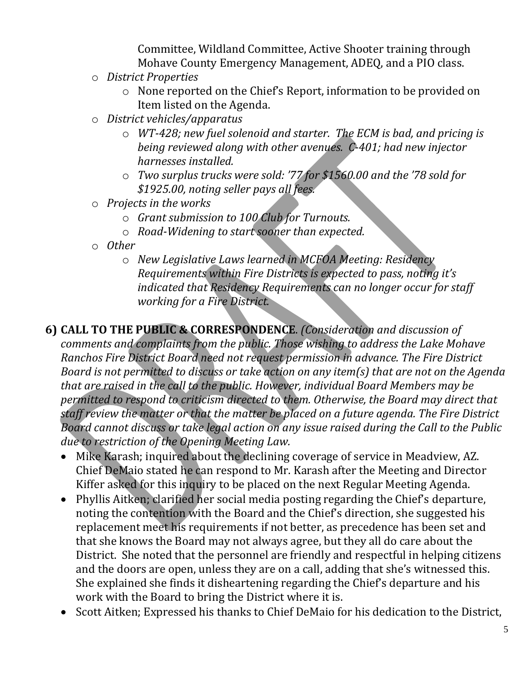Committee, Wildland Committee, Active Shooter training through Mohave County Emergency Management, ADEQ, and a PIO class.

- o *District Properties*
	- o None reported on the Chief's Report, information to be provided on Item listed on the Agenda.
- o *District vehicles/apparatus*
	- o *WT-428; new fuel solenoid and starter. The ECM is bad, and pricing is being reviewed along with other avenues. C-401; had new injector harnesses installed.*
	- o *Two surplus trucks were sold: '77 for \$1560.00 and the '78 sold for \$1925.00, noting seller pays all fees.*
- o *Projects in the works*
	- o *Grant submission to 100 Club for Turnouts.*
	- o *Road-Widening to start sooner than expected.*
- o *Other*
	- o *New Legislative Laws learned in MCFOA Meeting: Residency Requirements within Fire Districts is expected to pass, noting it's indicated that Residency Requirements can no longer occur for staff working for a Fire District.*

**6) CALL TO THE PUBLIC & CORRESPONDENCE**. *(Consideration and discussion of comments and complaints from the public. Those wishing to address the Lake Mohave Ranchos Fire District Board need not request permission in advance. The Fire District Board is not permitted to discuss or take action on any item(s) that are not on the Agenda that are raised in the call to the public. However, individual Board Members may be permitted to respond to criticism directed to them. Otherwise, the Board may direct that staff review the matter or that the matter be placed on a future agenda. The Fire District Board cannot discuss or take legal action on any issue raised during the Call to the Public due to restriction of the Opening Meeting Law.*

- Mike Karash; inquired about the declining coverage of service in Meadview, AZ. Chief DeMaio stated he can respond to Mr. Karash after the Meeting and Director Kiffer asked for this inquiry to be placed on the next Regular Meeting Agenda.
- Phyllis Aitken; clarified her social media posting regarding the Chief's departure, noting the contention with the Board and the Chief's direction, she suggested his replacement meet his requirements if not better, as precedence has been set and that she knows the Board may not always agree, but they all do care about the District. She noted that the personnel are friendly and respectful in helping citizens and the doors are open, unless they are on a call, adding that she's witnessed this. She explained she finds it disheartening regarding the Chief's departure and his work with the Board to bring the District where it is.
- Scott Aitken; Expressed his thanks to Chief DeMaio for his dedication to the District,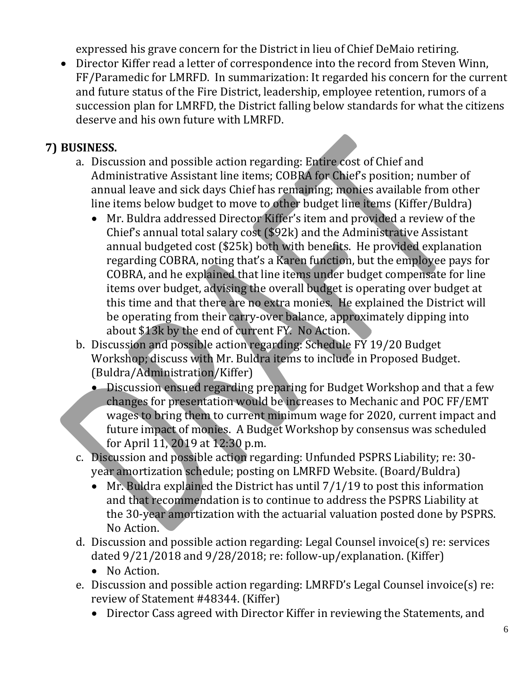expressed his grave concern for the District in lieu of Chief DeMaio retiring.

• Director Kiffer read a letter of correspondence into the record from Steven Winn, FF/Paramedic for LMRFD. In summarization: It regarded his concern for the current and future status of the Fire District, leadership, employee retention, rumors of a succession plan for LMRFD, the District falling below standards for what the citizens deserve and his own future with LMRFD.

## **7) BUSINESS.**

- a. Discussion and possible action regarding: Entire cost of Chief and Administrative Assistant line items; COBRA for Chief's position; number of annual leave and sick days Chief has remaining; monies available from other line items below budget to move to other budget line items (Kiffer/Buldra)
	- Mr. Buldra addressed Director Kiffer's item and provided a review of the Chief's annual total salary cost (\$92k) and the Administrative Assistant annual budgeted cost (\$25k) both with benefits. He provided explanation regarding COBRA, noting that's a Karen function, but the employee pays for COBRA, and he explained that line items under budget compensate for line items over budget, advising the overall budget is operating over budget at this time and that there are no extra monies. He explained the District will be operating from their carry-over balance, approximately dipping into about \$13k by the end of current FY. No Action.
- b. Discussion and possible action regarding: Schedule FY 19/20 Budget Workshop; discuss with Mr. Buldra items to include in Proposed Budget. (Buldra/Administration/Kiffer)
	- Discussion ensued regarding preparing for Budget Workshop and that a few changes for presentation would be increases to Mechanic and POC FF/EMT wages to bring them to current minimum wage for 2020, current impact and future impact of monies. A Budget Workshop by consensus was scheduled for April 11, 2019 at 12:30 p.m.
- c. Discussion and possible action regarding: Unfunded PSPRS Liability; re: 30 year amortization schedule; posting on LMRFD Website. (Board/Buldra)
	- Mr. Buldra explained the District has until 7/1/19 to post this information and that recommendation is to continue to address the PSPRS Liability at the 30-year amortization with the actuarial valuation posted done by PSPRS. No Action.
- d. Discussion and possible action regarding: Legal Counsel invoice(s) re: services dated 9/21/2018 and 9/28/2018; re: follow-up/explanation. (Kiffer)
	- No Action.
- e. Discussion and possible action regarding: LMRFD's Legal Counsel invoice(s) re: review of Statement #48344. (Kiffer)
	- Director Cass agreed with Director Kiffer in reviewing the Statements, and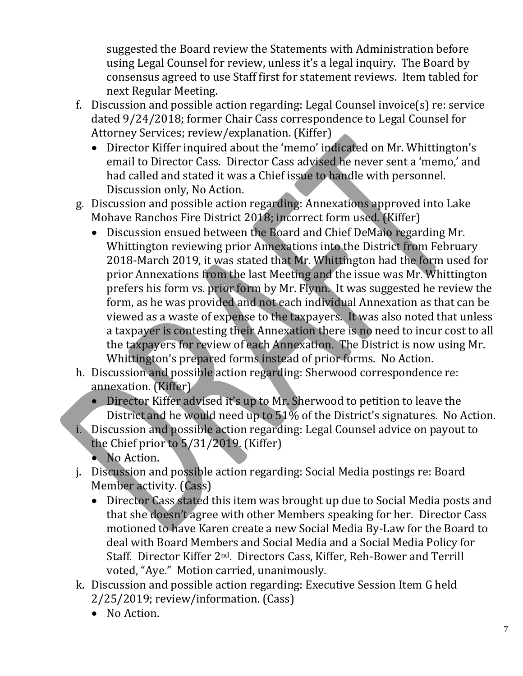suggested the Board review the Statements with Administration before using Legal Counsel for review, unless it's a legal inquiry. The Board by consensus agreed to use Staff first for statement reviews. Item tabled for next Regular Meeting.

- f. Discussion and possible action regarding: Legal Counsel invoice(s) re: service dated 9/24/2018; former Chair Cass correspondence to Legal Counsel for Attorney Services; review/explanation. (Kiffer)
	- Director Kiffer inquired about the 'memo' indicated on Mr. Whittington's email to Director Cass. Director Cass advised he never sent a 'memo,' and had called and stated it was a Chief issue to handle with personnel. Discussion only, No Action.
- g. Discussion and possible action regarding: Annexations approved into Lake Mohave Ranchos Fire District 2018; incorrect form used. (Kiffer)
	- Discussion ensued between the Board and Chief DeMaio regarding Mr. Whittington reviewing prior Annexations into the District from February 2018-March 2019, it was stated that Mr. Whittington had the form used for prior Annexations from the last Meeting and the issue was Mr. Whittington prefers his form vs. prior form by Mr. Flynn. It was suggested he review the form, as he was provided and not each individual Annexation as that can be viewed as a waste of expense to the taxpayers. It was also noted that unless a taxpayer is contesting their Annexation there is no need to incur cost to all the taxpayers for review of each Annexation. The District is now using Mr. Whittington's prepared forms instead of prior forms. No Action.
- h. Discussion and possible action regarding: Sherwood correspondence re: annexation. (Kiffer)
	- Director Kiffer advised it's up to Mr. Sherwood to petition to leave the District and he would need up to 51% of the District's signatures. No Action.
- i. Discussion and possible action regarding: Legal Counsel advice on payout to the Chief prior to 5/31/2019. (Kiffer)
	- No Action.
- j. Discussion and possible action regarding: Social Media postings re: Board Member activity. (Cass)
	- Director Cass stated this item was brought up due to Social Media posts and that she doesn't agree with other Members speaking for her. Director Cass motioned to have Karen create a new Social Media By-Law for the Board to deal with Board Members and Social Media and a Social Media Policy for Staff. Director Kiffer 2nd. Directors Cass, Kiffer, Reh-Bower and Terrill voted, "Aye." Motion carried, unanimously.
- k. Discussion and possible action regarding: Executive Session Item G held 2/25/2019; review/information. (Cass)
	- No Action.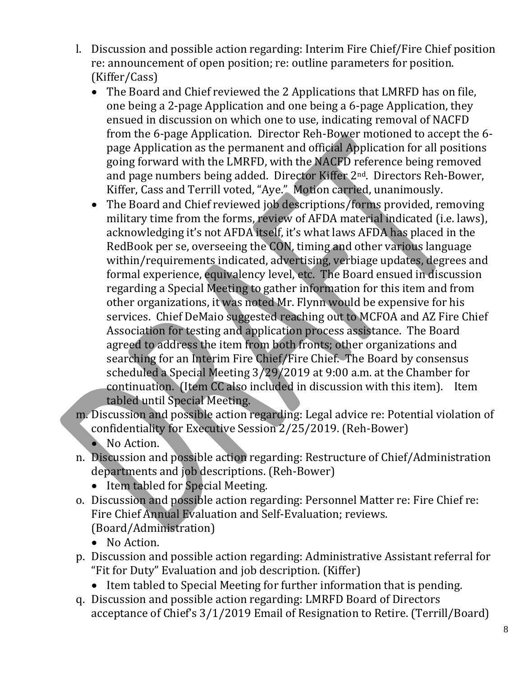- l. Discussion and possible action regarding: Interim Fire Chief/Fire Chief position re: announcement of open position; re: outline parameters for position. (Kiffer/Cass)
	- The Board and Chief reviewed the 2 Applications that LMRFD has on file, one being a 2-page Application and one being a 6-page Application, they ensued in discussion on which one to use, indicating removal of NACFD from the 6-page Application. Director Reh-Bower motioned to accept the 6 page Application as the permanent and official Application for all positions going forward with the LMRFD, with the NACFD reference being removed and page numbers being added. Director Kiffer 2nd. Directors Reh-Bower, Kiffer, Cass and Terrill voted, "Aye." Motion carried, unanimously.
	- The Board and Chief reviewed job descriptions/forms provided, removing military time from the forms, review of AFDA material indicated (i.e. laws), acknowledging it's not AFDA itself, it's what laws AFDA has placed in the RedBook per se, overseeing the CON, timing and other various language within/requirements indicated, advertising, verbiage updates, degrees and formal experience, equivalency level, etc. The Board ensued in discussion regarding a Special Meeting to gather information for this item and from other organizations, it was noted Mr. Flynn would be expensive for his services. Chief DeMaio suggested reaching out to MCFOA and AZ Fire Chief Association for testing and application process assistance. The Board agreed to address the item from both fronts; other organizations and searching for an Interim Fire Chief/Fire Chief. The Board by consensus scheduled a Special Meeting 3/29/2019 at 9:00 a.m. at the Chamber for continuation. (Item CC also included in discussion with this item). Item tabled until Special Meeting.
- m. Discussion and possible action regarding: Legal advice re: Potential violation of confidentiality for Executive Session 2/25/2019. (Reh-Bower)
	- No Action.
- n. Discussion and possible action regarding: Restructure of Chief/Administration departments and job descriptions. (Reh-Bower)
	- Item tabled for Special Meeting.
- o. Discussion and possible action regarding: Personnel Matter re: Fire Chief re: Fire Chief Annual Evaluation and Self-Evaluation; reviews. (Board/Administration)
	- No Action.
- p. Discussion and possible action regarding: Administrative Assistant referral for "Fit for Duty" Evaluation and job description. (Kiffer)
	- Item tabled to Special Meeting for further information that is pending.
- q. Discussion and possible action regarding: LMRFD Board of Directors acceptance of Chief's 3/1/2019 Email of Resignation to Retire. (Terrill/Board)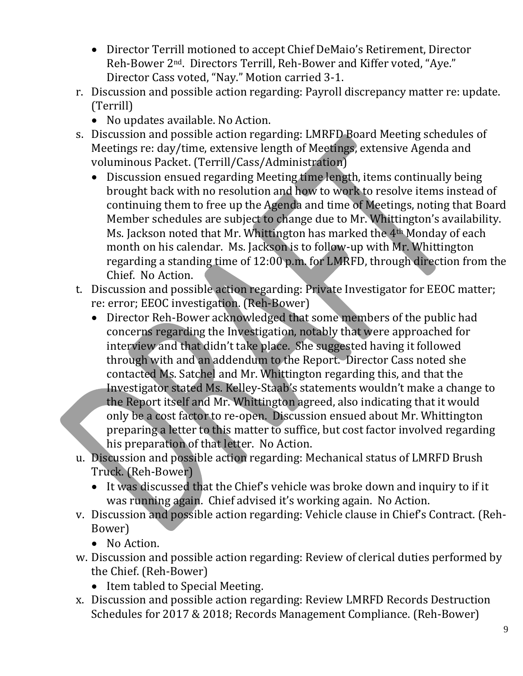- Director Terrill motioned to accept Chief DeMaio's Retirement, Director Reh-Bower 2nd. Directors Terrill, Reh-Bower and Kiffer voted, "Aye." Director Cass voted, "Nay." Motion carried 3-1.
- r. Discussion and possible action regarding: Payroll discrepancy matter re: update. (Terrill)
	- No updates available. No Action.
- s. Discussion and possible action regarding: LMRFD Board Meeting schedules of Meetings re: day/time, extensive length of Meetings, extensive Agenda and voluminous Packet. (Terrill/Cass/Administration)
	- Discussion ensued regarding Meeting time length, items continually being brought back with no resolution and how to work to resolve items instead of continuing them to free up the Agenda and time of Meetings, noting that Board Member schedules are subject to change due to Mr. Whittington's availability. Ms. Jackson noted that Mr. Whittington has marked the 4<sup>th</sup> Monday of each month on his calendar. Ms. Jackson is to follow-up with Mr. Whittington regarding a standing time of 12:00 p.m. for LMRFD, through direction from the Chief. No Action.
- t. Discussion and possible action regarding: Private Investigator for EEOC matter; re: error; EEOC investigation. (Reh-Bower)
	- Director Reh-Bower acknowledged that some members of the public had concerns regarding the Investigation, notably that were approached for interview and that didn't take place. She suggested having it followed through with and an addendum to the Report. Director Cass noted she contacted Ms. Satchel and Mr. Whittington regarding this, and that the Investigator stated Ms. Kelley-Staab's statements wouldn't make a change to the Report itself and Mr. Whittington agreed, also indicating that it would only be a cost factor to re-open. Discussion ensued about Mr. Whittington preparing a letter to this matter to suffice, but cost factor involved regarding his preparation of that letter. No Action.
- u. Discussion and possible action regarding: Mechanical status of LMRFD Brush Truck. (Reh-Bower)
	- It was discussed that the Chief's vehicle was broke down and inquiry to if it was running again. Chief advised it's working again. No Action.
- v. Discussion and possible action regarding: Vehicle clause in Chief's Contract. (Reh-Bower)
	- No Action.
- w. Discussion and possible action regarding: Review of clerical duties performed by the Chief. (Reh-Bower)
	- Item tabled to Special Meeting.
- x. Discussion and possible action regarding: Review LMRFD Records Destruction Schedules for 2017 & 2018; Records Management Compliance. (Reh-Bower)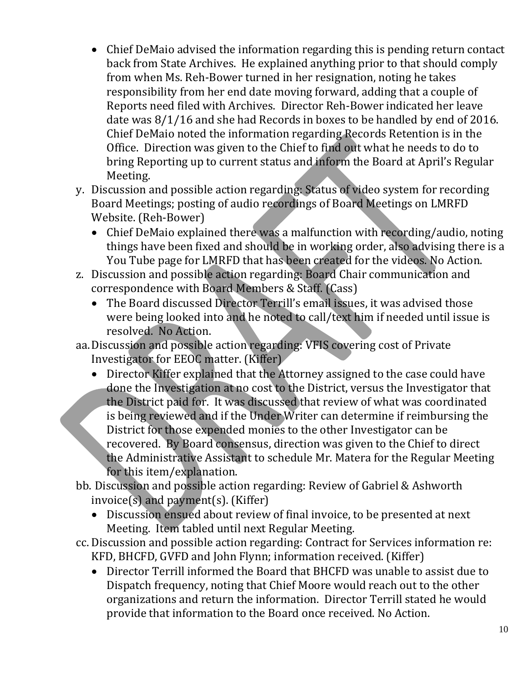- Chief DeMaio advised the information regarding this is pending return contact back from State Archives. He explained anything prior to that should comply from when Ms. Reh-Bower turned in her resignation, noting he takes responsibility from her end date moving forward, adding that a couple of Reports need filed with Archives. Director Reh-Bower indicated her leave date was 8/1/16 and she had Records in boxes to be handled by end of 2016. Chief DeMaio noted the information regarding Records Retention is in the Office. Direction was given to the Chief to find out what he needs to do to bring Reporting up to current status and inform the Board at April's Regular Meeting.
- y. Discussion and possible action regarding: Status of video system for recording Board Meetings; posting of audio recordings of Board Meetings on LMRFD Website. (Reh-Bower)
	- Chief DeMaio explained there was a malfunction with recording/audio, noting things have been fixed and should be in working order, also advising there is a You Tube page for LMRFD that has been created for the videos. No Action.
- z. Discussion and possible action regarding: Board Chair communication and correspondence with Board Members & Staff. (Cass)
	- The Board discussed Director Terrill's email issues, it was advised those were being looked into and he noted to call/text him if needed until issue is resolved. No Action.
- aa.Discussion and possible action regarding: VFIS covering cost of Private Investigator for EEOC matter. (Kiffer)
	- Director Kiffer explained that the Attorney assigned to the case could have done the Investigation at no cost to the District, versus the Investigator that the District paid for. It was discussed that review of what was coordinated is being reviewed and if the Under Writer can determine if reimbursing the District for those expended monies to the other Investigator can be recovered. By Board consensus, direction was given to the Chief to direct the Administrative Assistant to schedule Mr. Matera for the Regular Meeting for this item/explanation.
- bb. Discussion and possible action regarding: Review of Gabriel & Ashworth  $invoice(s)$  and payment(s). (Kiffer)
	- Discussion ensued about review of final invoice, to be presented at next Meeting. Item tabled until next Regular Meeting.
- cc. Discussion and possible action regarding: Contract for Services information re: KFD, BHCFD, GVFD and John Flynn; information received. (Kiffer)
	- Director Terrill informed the Board that BHCFD was unable to assist due to Dispatch frequency, noting that Chief Moore would reach out to the other organizations and return the information. Director Terrill stated he would provide that information to the Board once received. No Action.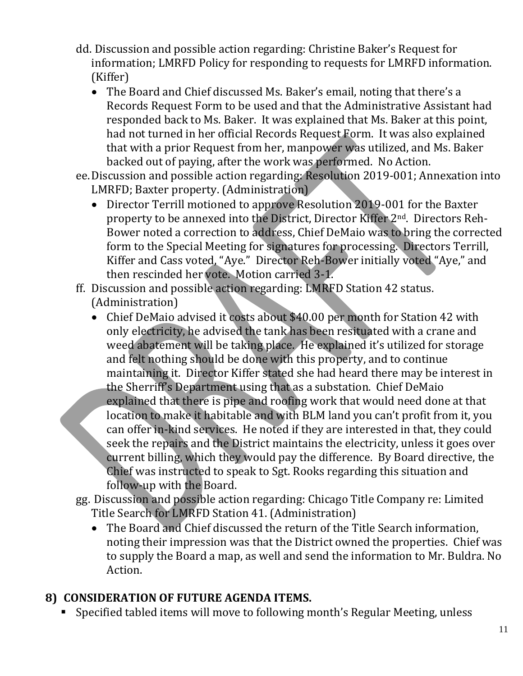- dd. Discussion and possible action regarding: Christine Baker's Request for information; LMRFD Policy for responding to requests for LMRFD information. (Kiffer)
	- The Board and Chief discussed Ms. Baker's email, noting that there's a Records Request Form to be used and that the Administrative Assistant had responded back to Ms. Baker. It was explained that Ms. Baker at this point, had not turned in her official Records Request Form. It was also explained that with a prior Request from her, manpower was utilized, and Ms. Baker backed out of paying, after the work was performed. No Action.
- ee.Discussion and possible action regarding: Resolution 2019-001; Annexation into LMRFD; Baxter property. (Administration)
	- Director Terrill motioned to approve Resolution 2019-001 for the Baxter property to be annexed into the District, Director Kiffer 2nd. Directors Reh-Bower noted a correction to address, Chief DeMaio was to bring the corrected form to the Special Meeting for signatures for processing. Directors Terrill, Kiffer and Cass voted, "Aye." Director Reh-Bower initially voted "Aye," and then rescinded her vote. Motion carried 3-1.
- ff. Discussion and possible action regarding: LMRFD Station 42 status. (Administration)
	- Chief DeMaio advised it costs about \$40.00 per month for Station 42 with only electricity, he advised the tank has been resituated with a crane and weed abatement will be taking place. He explained it's utilized for storage and felt nothing should be done with this property, and to continue maintaining it. Director Kiffer stated she had heard there may be interest in the Sherriff's Department using that as a substation. Chief DeMaio explained that there is pipe and roofing work that would need done at that location to make it habitable and with BLM land you can't profit from it, you can offer in-kind services. He noted if they are interested in that, they could seek the repairs and the District maintains the electricity, unless it goes over current billing, which they would pay the difference. By Board directive, the Chief was instructed to speak to Sgt. Rooks regarding this situation and follow-up with the Board.
- gg. Discussion and possible action regarding: Chicago Title Company re: Limited Title Search for LMRFD Station 41. (Administration)
	- The Board and Chief discussed the return of the Title Search information, noting their impression was that the District owned the properties. Chief was to supply the Board a map, as well and send the information to Mr. Buldra. No Action.

## **8) CONSIDERATION OF FUTURE AGENDA ITEMS.**

▪ Specified tabled items will move to following month's Regular Meeting, unless